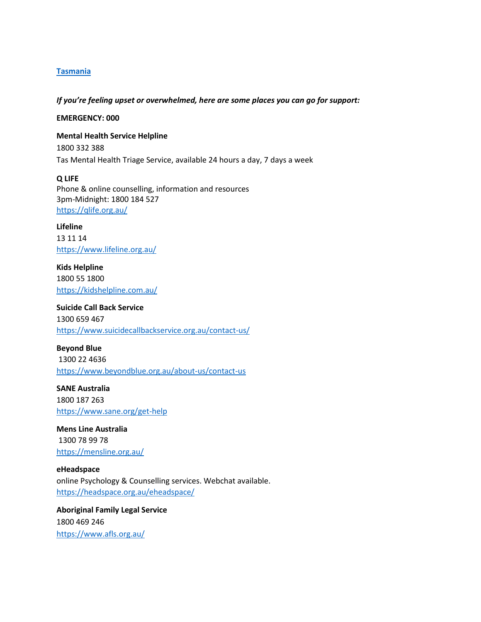# **Tasmania**

*If you're feeling upset or overwhelmed, here are some places you can go for support:*

**EMERGENCY: 000**

**Mental Health Service Helpline**  1800 332 388 Tas Mental Health Triage Service, available 24 hours a day, 7 days a week

**Q LIFE** Phone & online counselling, information and resources 3pm-Midnight: 1800 184 527 <https://qlife.org.au/>

**Lifeline**  13 11 14 <https://www.lifeline.org.au/>

**Kids Helpline** 1800 55 1800 <https://kidshelpline.com.au/>

**Suicide Call Back Service** 1300 659 467 <https://www.suicidecallbackservice.org.au/contact-us/>

**Beyond Blue** 1300 22 4636 <https://www.beyondblue.org.au/about-us/contact-us>

**SANE Australia** 1800 187 263 <https://www.sane.org/get-help>

**Mens Line Australia** 1300 78 99 78 <https://mensline.org.au/>

**eHeadspace** online Psychology & Counselling services. Webchat available. <https://headspace.org.au/eheadspace/>

**Aboriginal Family Legal Service** 1800 469 246 <https://www.afls.org.au/>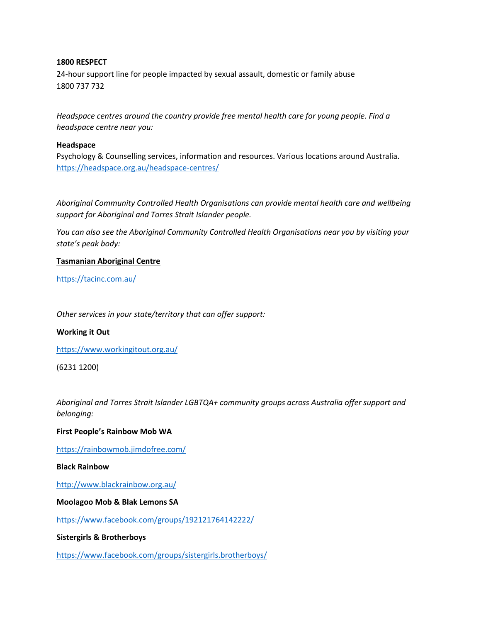# **1800 RESPECT**

24-hour support line for people impacted by sexual assault, domestic or family abuse 1800 737 732

*Headspace centres around the country provide free mental health care for young people. Find a headspace centre near you:*

### **Headspace**

Psychology & Counselling services, information and resources. Various locations around Australia. <https://headspace.org.au/headspace-centres/>

*Aboriginal Community Controlled Health Organisations can provide mental health care and wellbeing support for Aboriginal and Torres Strait Islander people.* 

*You can also see the Aboriginal Community Controlled Health Organisations near you by visiting your state's peak body:*

## **Tasmanian Aboriginal Centre**

<https://tacinc.com.au/>

*Other services in your state/territory that can offer support:*

#### **Working it Out**

<https://www.workingitout.org.au/>

(6231 1200)

*Aboriginal and Torres Strait Islander LGBTQA+ community groups across Australia offer support and belonging:*

#### **First People's Rainbow Mob WA**

<https://rainbowmob.jimdofree.com/>

# **Black Rainbow**

<http://www.blackrainbow.org.au/>

#### **Moolagoo Mob & Blak Lemons SA**

<https://www.facebook.com/groups/192121764142222/>

**Sistergirls & Brotherboys** 

<https://www.facebook.com/groups/sistergirls.brotherboys/>